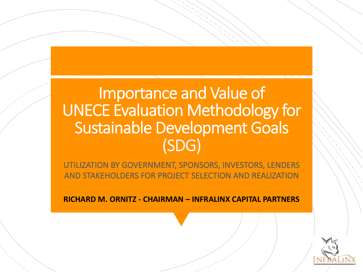## Importance and Value of UNECE Evaluation Methodology for Sustainable Development Goals (SDG)

UTILIZATION BY GOVERNMENT, SPONSORS, INVESTORS, LENDERS AND STAKEHOLDERS FOR PROJECT SELECTION AND REALIZATION

**RICHARD M. ORNITZ - CHAIRMAN – INFRALINX CAPITAL PARTNERS**

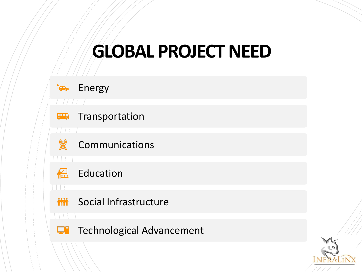# **GLOBAL PROJECT NEED**



#### Energy



#### Transportation



 $\overline{\phantom{a}}$ 

#### Communications



#### **Education**

#### **MMM** Social Infrastructure

#### **TE** Technological Advancement

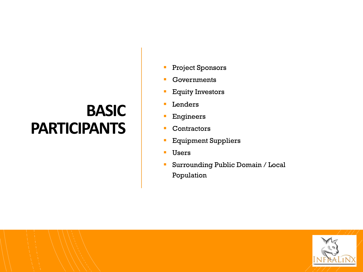## **BASIC PARTICIPANTS**

- Project Sponsors
- § Governments
- § Equity Investors
- **Lenders**
- **Engineers**
- **Contractors**
- § Equipment Suppliers
- **Users**
- § Surrounding Public Domain / Local Population

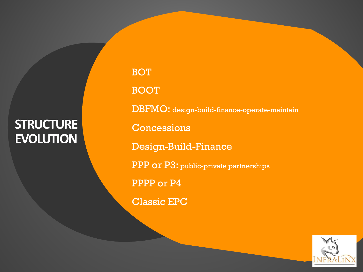#### **STRUCTURE EVOLUTION**

§ BOT § BOOT § DBFMO: design-build-finance-operate-maintain **Concessions** § Design-Build-Finance PPP or P3: public-private partnerships § PPPP or P4 § Classic EPC

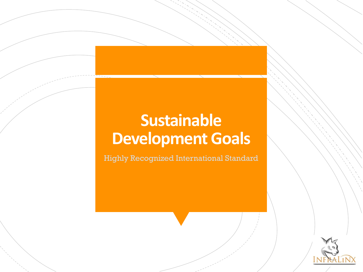## **Sustainable Development Goals**

Highly Recognized International Standard

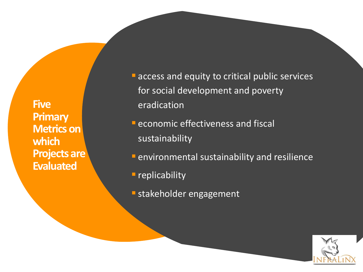**Five Primary Metrics on which Projects are Evaluated**

- **E** access and equity to critical public services for social development and poverty eradication
- **E** economic effectiveness and fiscal sustainability
- **F** environmental sustainability and resilience
- **P** replicability
- **E** stakeholder engagement

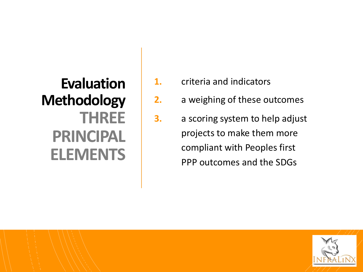## **Evaluation Methodology THREE PRINCIPAL ELEMENTS**

- **1.** criteria and indicators
- **2.** a weighing of these outcomes
- **3.** a scoring system to help adjust projects to make them more compliant with Peoples first PPP outcomes and the SDGs

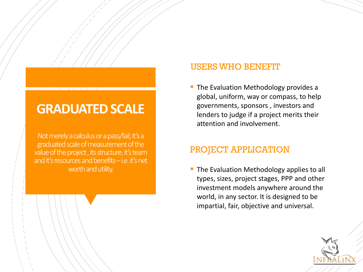#### **GRADUATED SCALE**

Not merely a calculus or a pass/fail; It's a graduated scale of measurement of the value of the project, its structure, it's team and it's resources and benefits –i.e. it's net worth and utility.

#### USERS WHO BENEFIT

The Evaluation Methodology provides a global, uniform, way or compass, to help governments, sponsors , investors and lenders to judge if a project merits their attention and involvement.

#### PROJECT APPLICATION

The Evaluation Methodology applies to all types, sizes, project stages, PPP and other investment models anywhere around the world, in any sector. It is designed to be impartial, fair, objective and universal.

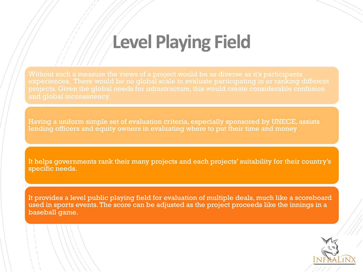## **Level Playing Field**

experiences. There would be no global scale to evaluate participating in or ranking different projects. Given the global needs for infrastructure, this would create considerable confusion

Having a uniform simple set of evaluation criteria, especially sponsored by UNECE, assists lending officers and equity owners in evaluating where to put their time and money

It helps governments rank their many projects and each projects' suitability for their country's specific needs.

It provides a level public playing field for evaluation of multiple deals, much like a scoreboard used in sports events. The score can be adjusted as the project proceeds like the innings in a baseball game.

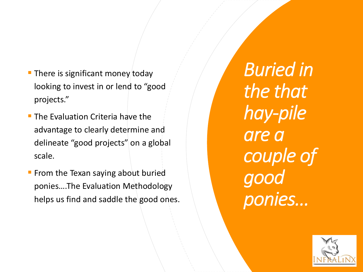- $\blacksquare$  There is significant money today looking to invest in or lend to "good projects."
- $\blacksquare$  The Evaluation Criteria have the advantage to clearly determine and delineate "good projects" on a global scale.
- From the Texan saying about buried ponies….The Evaluation Methodology helps us find and saddle the good ones.

*Buried in the that hay-pile are a couple of good ponies…*

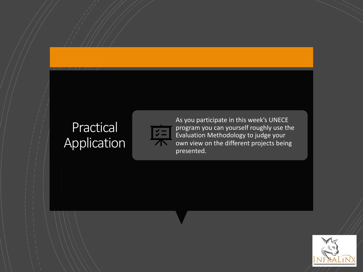### Practical Application



As you participate in this week's UNECE program you can yourself roughly use the Evaluation Methodology to judge your own view on the different projects being presented.

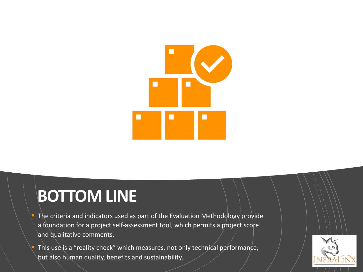

## **BOTTOM LINE**

- The criteria and indicators used as part of the Evaluation Methodology provide a foundation for a project self-assessment tool, which permits a project score and qualitative comments.
- This use is a "reality check" which measures, not only technical performance, but also human quality, benefits and sustainability.

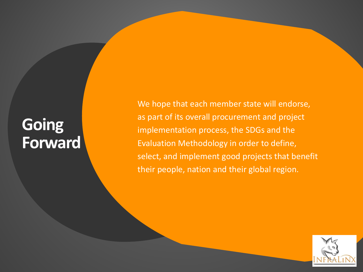## **Going Forward**

We hope that each member state will endorse, as part of its overall procurement and project implementation process, the SDGs and the Evaluation Methodology in order to define, select, and implement good projects that benefit their people, nation and their global region.

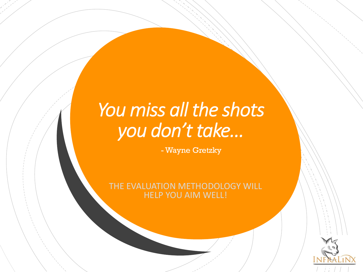# *You miss all the shots you don't take…*

- Wayne Gretzky

THE EVALUATION METHODOLOGY WILL HELP YOU AIM WELL!